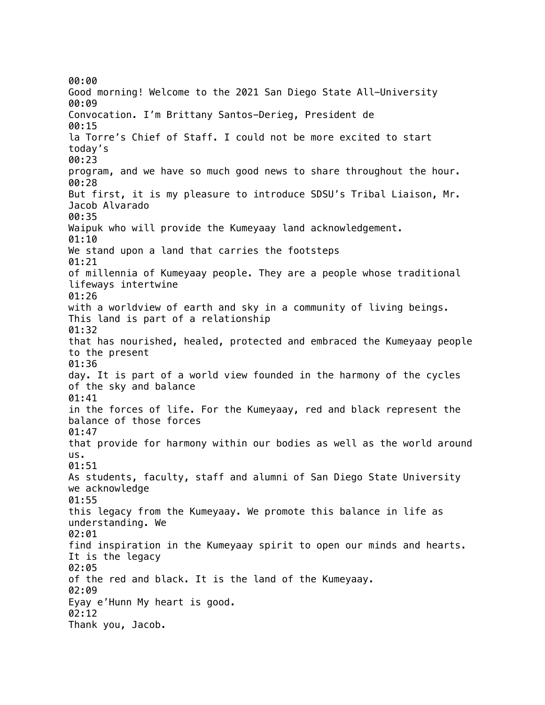00:00 Good morning! Welcome to the 2021 San Diego State All-University 00:09 Convocation. I'm Brittany Santos-Derieg, President de 00:15 la Torre's Chief of Staff. I could not be more excited to start today's 00:23 program, and we have so much good news to share throughout the hour. 00:28 But first, it is my pleasure to introduce SDSU's Tribal Liaison, Mr. Jacob Alvarado 00:35 Waipuk who will provide the Kumeyaay land acknowledgement. 01:10 We stand upon a land that carries the footsteps 01:21 of millennia of Kumeyaay people. They are a people whose traditional lifeways intertwine 01:26 with a worldview of earth and sky in a community of living beings. This land is part of a relationship 01:32 that has nourished, healed, protected and embraced the Kumeyaay people to the present 01:36 day. It is part of a world view founded in the harmony of the cycles of the sky and balance 01:41 in the forces of life. For the Kumeyaay, red and black represent the balance of those forces 01:47 that provide for harmony within our bodies as well as the world around us. 01:51 As students, faculty, staff and alumni of San Diego State University we acknowledge 01:55 this legacy from the Kumeyaay. We promote this balance in life as understanding. We 02:01 find inspiration in the Kumeyaay spirit to open our minds and hearts. It is the legacy 02:05 of the red and black. It is the land of the Kumeyaay. 02:09 Eyay e'Hunn My heart is good. 02:12 Thank you, Jacob.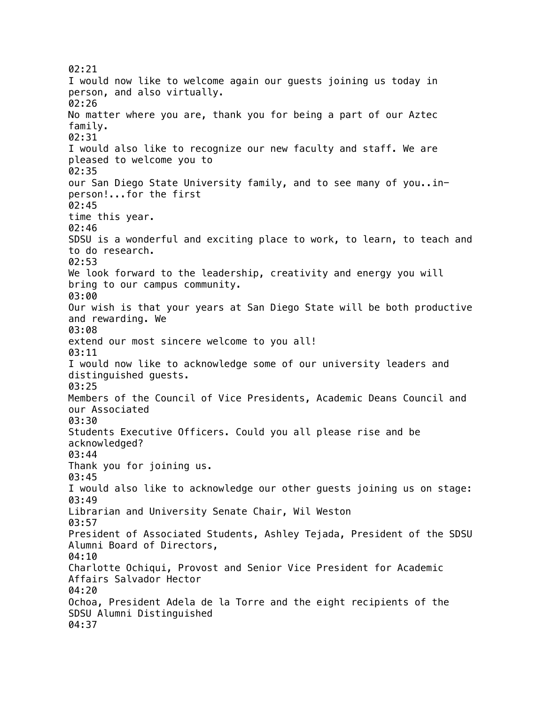02:21 I would now like to welcome again our guests joining us today in person, and also virtually. 02:26 No matter where you are, thank you for being a part of our Aztec family. 02:31 I would also like to recognize our new faculty and staff. We are pleased to welcome you to 02:35 our San Diego State University family, and to see many of you..inperson!...for the first 02:45 time this year. 02:46 SDSU is a wonderful and exciting place to work, to learn, to teach and to do research. 02:53 We look forward to the leadership, creativity and energy you will bring to our campus community. 03:00 Our wish is that your years at San Diego State will be both productive and rewarding. We 03:08 extend our most sincere welcome to you all! 03:11 I would now like to acknowledge some of our university leaders and distinguished guests. 03:25 Members of the Council of Vice Presidents, Academic Deans Council and our Associated 03:30 Students Executive Officers. Could you all please rise and be acknowledged? 03:44 Thank you for joining us. 03:45 I would also like to acknowledge our other guests joining us on stage: 03:49 Librarian and University Senate Chair, Wil Weston 03:57 President of Associated Students, Ashley Tejada, President of the SDSU Alumni Board of Directors, 04:10 Charlotte Ochiqui, Provost and Senior Vice President for Academic Affairs Salvador Hector 04:20 Ochoa, President Adela de la Torre and the eight recipients of the SDSU Alumni Distinguished 04:37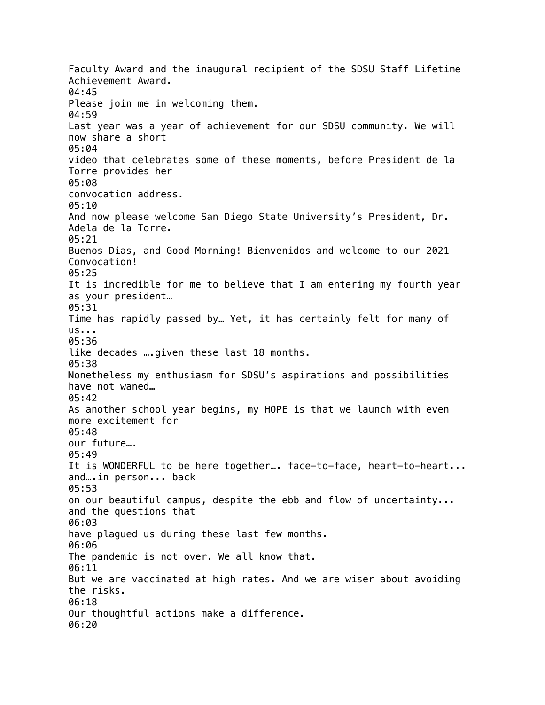Faculty Award and the inaugural recipient of the SDSU Staff Lifetime Achievement Award. 04:45 Please join me in welcoming them. 04:59 Last year was a year of achievement for our SDSU community. We will now share a short 05:04 video that celebrates some of these moments, before President de la Torre provides her 05:08 convocation address. 05:10 And now please welcome San Diego State University's President, Dr. Adela de la Torre. 05:21 Buenos Dias, and Good Morning! Bienvenidos and welcome to our 2021 Convocation! 05:25 It is incredible for me to believe that I am entering my fourth year as your president… 05:31 Time has rapidly passed by… Yet, it has certainly felt for many of  $US...$ 05:36 like decades ….given these last 18 months. 05:38 Nonetheless my enthusiasm for SDSU's aspirations and possibilities have not waned… 05:42 As another school year begins, my HOPE is that we launch with even more excitement for 05:48 our future…. 05:49 It is WONDERFUL to be here together…. face-to-face, heart-to-heart... and….in person... back 05:53 on our beautiful campus, despite the ebb and flow of uncertainty... and the questions that 06:03 have plagued us during these last few months. 06:06 The pandemic is not over. We all know that. 06:11 But we are vaccinated at high rates. And we are wiser about avoiding the risks. 06:18 Our thoughtful actions make a difference. 06:20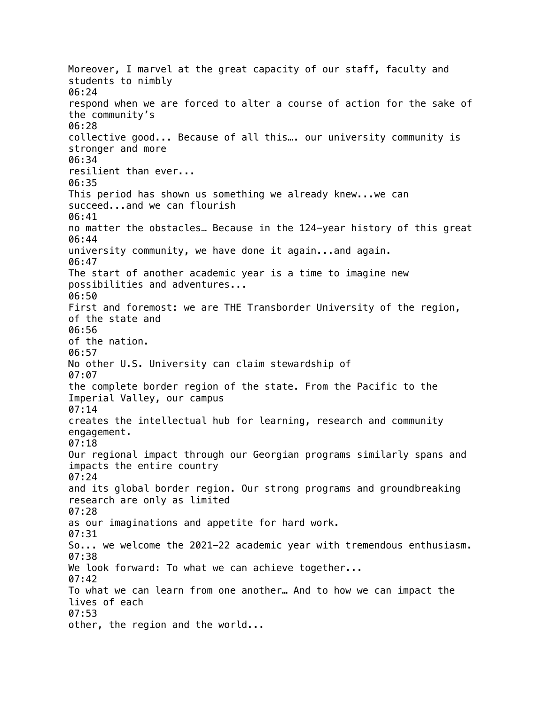Moreover, I marvel at the great capacity of our staff, faculty and students to nimbly 06:24 respond when we are forced to alter a course of action for the sake of the community's 06:28 collective good... Because of all this…. our university community is stronger and more 06:34 resilient than ever... 06:35 This period has shown us something we already knew...we can succeed...and we can flourish 06:41 no matter the obstacles… Because in the 124-year history of this great 06:44 university community, we have done it again...and again. 06:47 The start of another academic year is a time to imagine new possibilities and adventures... 06:50 First and foremost: we are THE Transborder University of the region, of the state and 06:56 of the nation. 06:57 No other U.S. University can claim stewardship of 07:07 the complete border region of the state. From the Pacific to the Imperial Valley, our campus 07:14 creates the intellectual hub for learning, research and community engagement. 07:18 Our regional impact through our Georgian programs similarly spans and impacts the entire country 07:24 and its global border region. Our strong programs and groundbreaking research are only as limited 07:28 as our imaginations and appetite for hard work. 07:31 So... we welcome the 2021-22 academic year with tremendous enthusiasm. 07:38 We look forward: To what we can achieve together... 07:42 To what we can learn from one another… And to how we can impact the lives of each 07:53 other, the region and the world...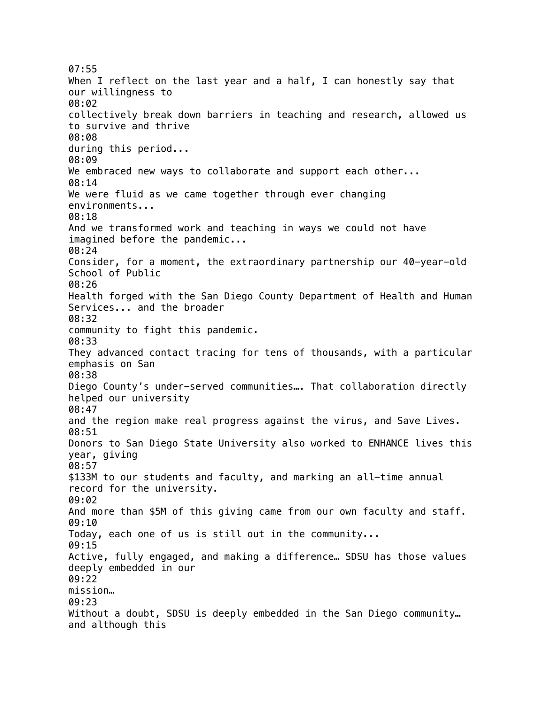07:55 When I reflect on the last year and a half, I can honestly say that our willingness to 08:02 collectively break down barriers in teaching and research, allowed us to survive and thrive 08:08 during this period... 08:09 We embraced new ways to collaborate and support each other... 08:14 We were fluid as we came together through ever changing environments... 08:18 And we transformed work and teaching in ways we could not have imagined before the pandemic... 08:24 Consider, for a moment, the extraordinary partnership our 40-year-old School of Public 08:26 Health forged with the San Diego County Department of Health and Human Services... and the broader 08:32 community to fight this pandemic. 08:33 They advanced contact tracing for tens of thousands, with a particular emphasis on San 08:38 Diego County's under-served communities…. That collaboration directly helped our university 08:47 and the region make real progress against the virus, and Save Lives. 08:51 Donors to San Diego State University also worked to ENHANCE lives this year, giving 08:57 \$133M to our students and faculty, and marking an all-time annual record for the university. 09:02 And more than \$5M of this giving came from our own faculty and staff. 09:10 Today, each one of us is still out in the community... 09:15 Active, fully engaged, and making a difference… SDSU has those values deeply embedded in our 09:22 mission… 09:23 Without a doubt, SDSU is deeply embedded in the San Diego community... and although this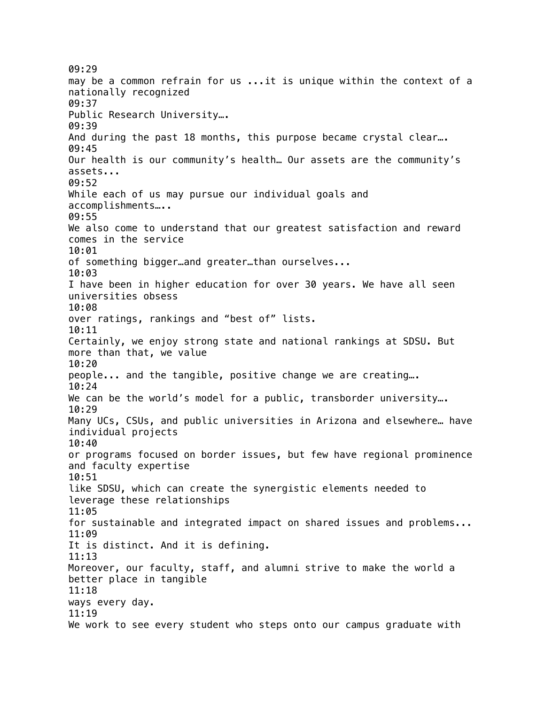09:29 may be a common refrain for us ...it is unique within the context of a nationally recognized 09:37 Public Research University…. 09:39 And during the past 18 months, this purpose became crystal clear…. 09:45 Our health is our community's health… Our assets are the community's assets... 09:52 While each of us may pursue our individual goals and accomplishments….. 09:55 We also come to understand that our greatest satisfaction and reward comes in the service 10:01 of something bigger…and greater…than ourselves... 10:03 I have been in higher education for over 30 years. We have all seen universities obsess 10:08 over ratings, rankings and "best of" lists. 10:11 Certainly, we enjoy strong state and national rankings at SDSU. But more than that, we value 10:20 people... and the tangible, positive change we are creating…. 10:24 We can be the world's model for a public, transborder university... 10:29 Many UCs, CSUs, and public universities in Arizona and elsewhere… have individual projects 10:40 or programs focused on border issues, but few have regional prominence and faculty expertise 10:51 like SDSU, which can create the synergistic elements needed to leverage these relationships 11:05 for sustainable and integrated impact on shared issues and problems... 11:09 It is distinct. And it is defining. 11:13 Moreover, our faculty, staff, and alumni strive to make the world a better place in tangible 11:18 ways every day. 11:19 We work to see every student who steps onto our campus graduate with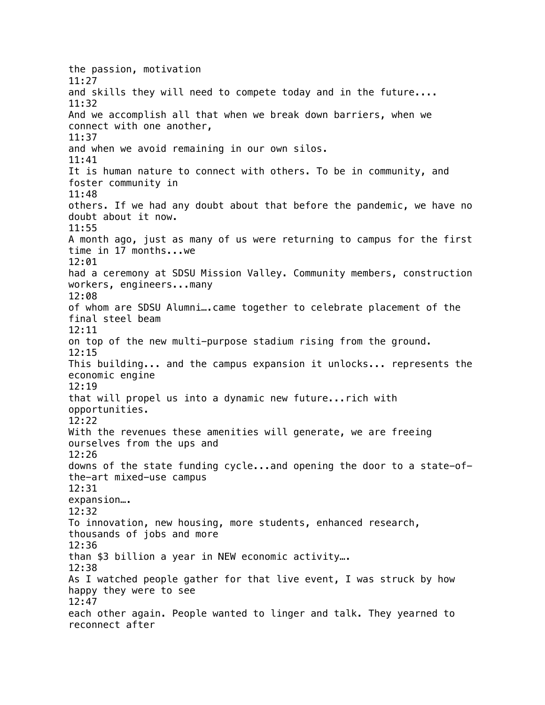the passion, motivation 11:27 and skills they will need to compete today and in the future.... 11:32 And we accomplish all that when we break down barriers, when we connect with one another, 11:37 and when we avoid remaining in our own silos. 11:41 It is human nature to connect with others. To be in community, and foster community in 11:48 others. If we had any doubt about that before the pandemic, we have no doubt about it now. 11:55 A month ago, just as many of us were returning to campus for the first time in 17 months...we 12:01 had a ceremony at SDSU Mission Valley. Community members, construction workers, engineers...many 12:08 of whom are SDSU Alumni….came together to celebrate placement of the final steel beam 12:11 on top of the new multi-purpose stadium rising from the ground. 12:15 This building... and the campus expansion it unlocks... represents the economic engine 12:19 that will propel us into a dynamic new future...rich with opportunities. 12:22 With the revenues these amenities will generate, we are freeing ourselves from the ups and 12:26 downs of the state funding cycle...and opening the door to a state-ofthe-art mixed-use campus 12:31 expansion…. 12:32 To innovation, new housing, more students, enhanced research, thousands of jobs and more 12:36 than \$3 billion a year in NEW economic activity…. 12:38 As I watched people gather for that live event, I was struck by how happy they were to see 12:47 each other again. People wanted to linger and talk. They yearned to reconnect after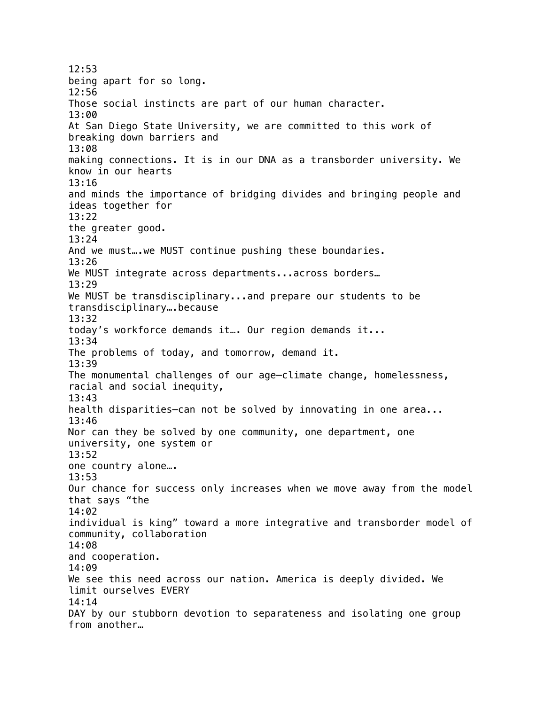12:53 being apart for so long. 12:56 Those social instincts are part of our human character. 13:00 At San Diego State University, we are committed to this work of breaking down barriers and 13:08 making connections. It is in our DNA as a transborder university. We know in our hearts 13:16 and minds the importance of bridging divides and bringing people and ideas together for 13:22 the greater good. 13:24 And we [must….we](https://must�.we) MUST continue pushing these boundaries. 13:26 We MUST integrate across departments...across borders... 13:29 We MUST be transdisciplinary...and prepare our students to be transdisciplinary….because 13:32 today's workforce demands it…. Our region demands it... 13:34 The problems of today, and tomorrow, demand it. 13:39 The monumental challenges of our age—climate change, homelessness, racial and social inequity, 13:43 health disparities—can not be solved by innovating in one area... 13:46 Nor can they be solved by one community, one department, one university, one system or 13:52 one country alone…. 13:53 Our chance for success only increases when we move away from the model that says "the 14:02 individual is king" toward a more integrative and transborder model of community, collaboration 14:08 and cooperation. 14:09 We see this need across our nation. America is deeply divided. We limit ourselves EVERY 14:14 DAY by our stubborn devotion to separateness and isolating one group from another…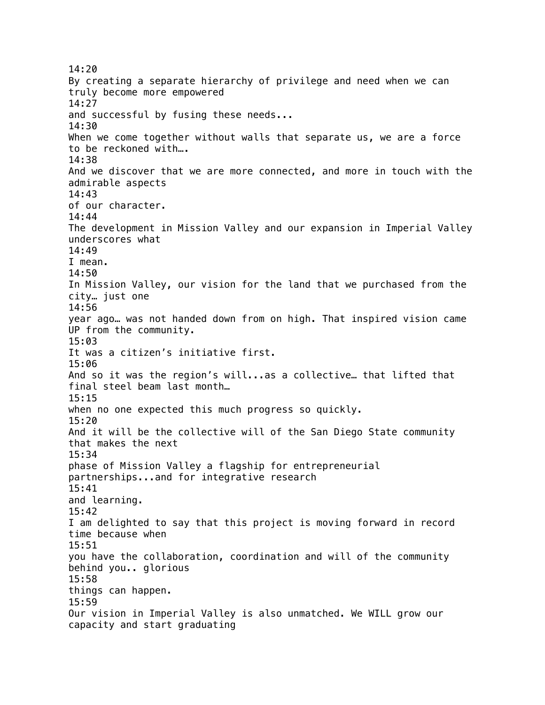14:20 By creating a separate hierarchy of privilege and need when we can truly become more empowered 14:27 and successful by fusing these needs... 14:30 When we come together without walls that separate us, we are a force to be reckoned with…. 14:38 And we discover that we are more connected, and more in touch with the admirable aspects 14:43 of our character. 14:44 The development in Mission Valley and our expansion in Imperial Valley underscores what 14:49 I mean. 14:50 In Mission Valley, our vision for the land that we purchased from the city… just one 14:56 year ago… was not handed down from on high. That inspired vision came UP from the community. 15:03 It was a citizen's initiative first. 15:06 And so it was the region's will...as a collective… that lifted that final steel beam last month… 15:15 when no one expected this much progress so quickly. 15:20 And it will be the collective will of the San Diego State community that makes the next 15:34 phase of Mission Valley a flagship for entrepreneurial partnerships...and for integrative research 15:41 and learning. 15:42 I am delighted to say that this project is moving forward in record time because when 15:51 you have the collaboration, coordination and will of the community behind you.. glorious 15:58 things can happen. 15:59 Our vision in Imperial Valley is also unmatched. We WILL grow our capacity and start graduating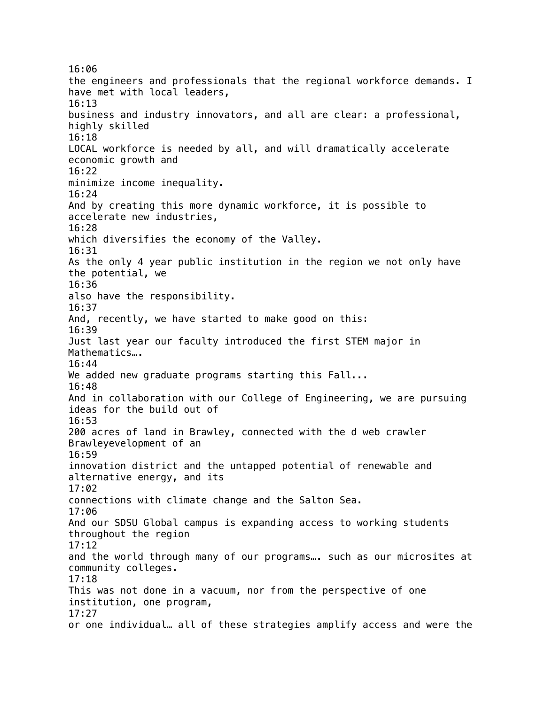16:06 the engineers and professionals that the regional workforce demands. I have met with local leaders, 16:13 business and industry innovators, and all are clear: a professional, highly skilled 16:18 LOCAL workforce is needed by all, and will dramatically accelerate economic growth and 16:22 minimize income inequality. 16:24 And by creating this more dynamic workforce, it is possible to accelerate new industries, 16:28 which diversifies the economy of the Valley. 16:31 As the only 4 year public institution in the region we not only have the potential, we 16:36 also have the responsibility. 16:37 And, recently, we have started to make good on this: 16:39 Just last year our faculty introduced the first STEM major in Mathematics…. 16:44 We added new graduate programs starting this Fall... 16:48 And in collaboration with our College of Engineering, we are pursuing ideas for the build out of 16:53 200 acres of land in Brawley, connected with the d web crawler Brawleyevelopment of an 16:59 innovation district and the untapped potential of renewable and alternative energy, and its 17:02 connections with climate change and the Salton Sea. 17:06 And our SDSU Global campus is expanding access to working students throughout the region 17:12 and the world through many of our programs…. such as our microsites at community colleges. 17:18 This was not done in a vacuum, nor from the perspective of one institution, one program, 17:27 or one individual… all of these strategies amplify access and were the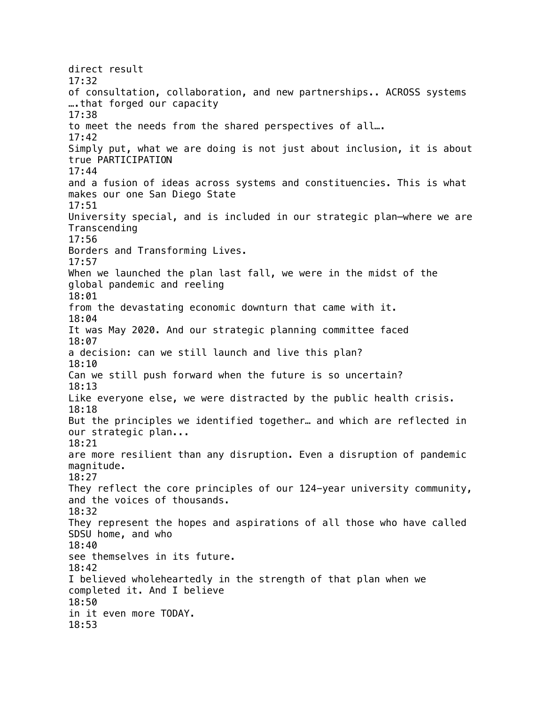direct result 17:32 of consultation, collaboration, and new partnerships.. ACROSS systems ….that forged our capacity 17:38 to meet the needs from the shared perspectives of all…. 17:42 Simply put, what we are doing is not just about inclusion, it is about true PARTICIPATION 17:44 and a fusion of ideas across systems and constituencies. This is what makes our one San Diego State 17:51 University special, and is included in our strategic plan—where we are Transcending 17:56 Borders and Transforming Lives. 17:57 When we launched the plan last fall, we were in the midst of the global pandemic and reeling 18:01 from the devastating economic downturn that came with it. 18:04 It was May 2020. And our strategic planning committee faced 18:07 a decision: can we still launch and live this plan? 18:10 Can we still push forward when the future is so uncertain? 18:13 Like everyone else, we were distracted by the public health crisis. 18:18 But the principles we identified together… and which are reflected in our strategic plan... 18:21 are more resilient than any disruption. Even a disruption of pandemic magnitude. 18:27 They reflect the core principles of our 124-year university community, and the voices of thousands. 18:32 They represent the hopes and aspirations of all those who have called SDSU home, and who 18:40 see themselves in its future. 18:42 I believed wholeheartedly in the strength of that plan when we completed it. And I believe 18:50 in it even more TODAY. 18:53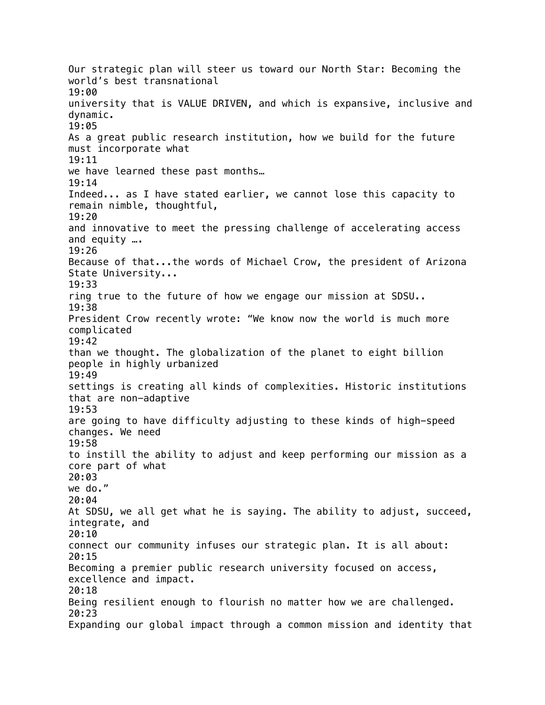Our strategic plan will steer us toward our North Star: Becoming the world's best transnational 19:00 university that is VALUE DRIVEN, and which is expansive, inclusive and dynamic. 19:05 As a great public research institution, how we build for the future must incorporate what 19:11 we have learned these past months… 19:14 Indeed... as I have stated earlier, we cannot lose this capacity to remain nimble, thoughtful, 19:20 and innovative to meet the pressing challenge of accelerating access and equity …. 19:26 Because of that...the words of Michael Crow, the president of Arizona State University... 19:33 ring true to the future of how we engage our mission at SDSU.. 19:38 President Crow recently wrote: "We know now the world is much more complicated 19:42 than we thought. The globalization of the planet to eight billion people in highly urbanized 19:49 settings is creating all kinds of complexities. Historic institutions that are non-adaptive 19:53 are going to have difficulty adjusting to these kinds of high-speed changes. We need 19:58 to instill the ability to adjust and keep performing our mission as a core part of what 20:03 we do." 20:04 At SDSU, we all get what he is saying. The ability to adjust, succeed, integrate, and 20:10 connect our community infuses our strategic plan. It is all about: 20:15 Becoming a premier public research university focused on access, excellence and impact. 20:18 Being resilient enough to flourish no matter how we are challenged. 20:23 Expanding our global impact through a common mission and identity that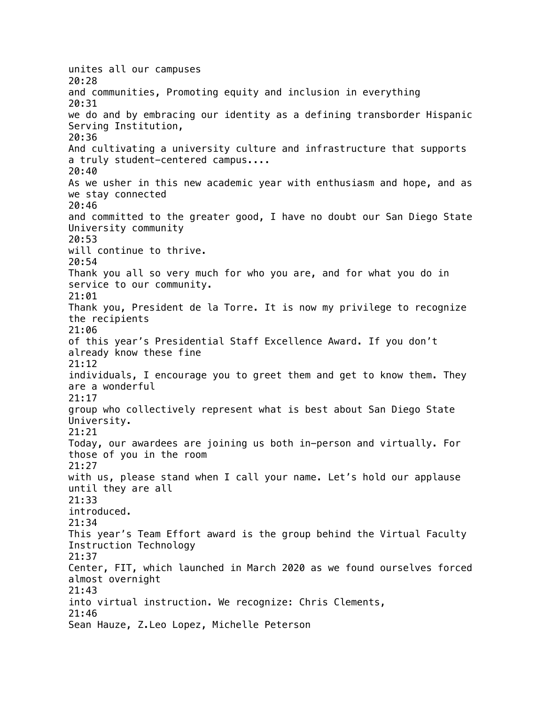unites all our campuses 20:28 and communities, Promoting equity and inclusion in everything 20:31 we do and by embracing our identity as a defining transborder Hispanic Serving Institution, 20:36 And cultivating a university culture and infrastructure that supports a truly student-centered campus.... 20:40 As we usher in this new academic year with enthusiasm and hope, and as we stay connected 20:46 and committed to the greater good, I have no doubt our San Diego State University community 20:53 will continue to thrive. 20:54 Thank you all so very much for who you are, and for what you do in service to our community. 21:01 Thank you, President de la Torre. It is now my privilege to recognize the recipients 21:06 of this year's Presidential Staff Excellence Award. If you don't already know these fine 21:12 individuals, I encourage you to greet them and get to know them. They are a wonderful 21:17 group who collectively represent what is best about San Diego State University. 21:21 Today, our awardees are joining us both in-person and virtually. For those of you in the room 21:27 with us, please stand when I call your name. Let's hold our applause until they are all 21:33 introduced. 21:34 This year's Team Effort award is the group behind the Virtual Faculty Instruction Technology 21:37 Center, FIT, which launched in March 2020 as we found ourselves forced almost overnight 21:43 into virtual instruction. We recognize: Chris Clements, 21:46 Sean Hauze, Z.Leo Lopez, Michelle Peterson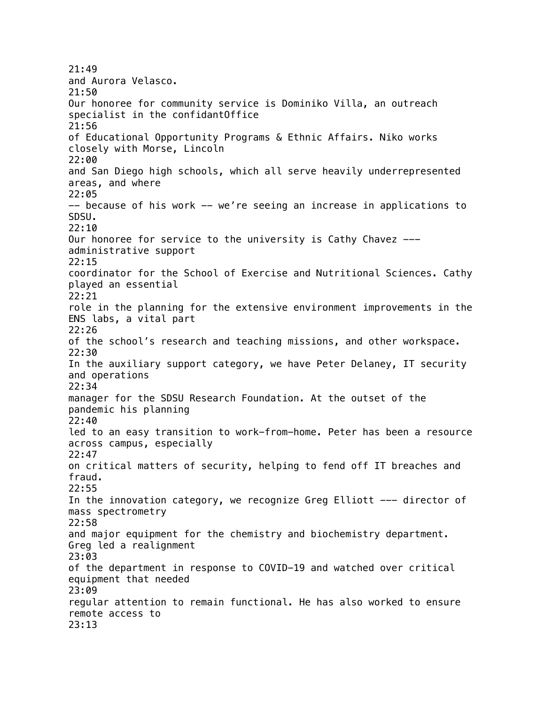21:49 and Aurora Velasco. 21:50 Our honoree for community service is Dominiko Villa, an outreach specialist in the confidantOffice 21:56 of Educational Opportunity Programs & Ethnic Affairs. Niko works closely with Morse, Lincoln 22:00 and San Diego high schools, which all serve heavily underrepresented areas, and where 22:05 -- because of his work -- we're seeing an increase in applications to SDSU. 22:10 Our honoree for service to the university is Cathy Chavez -- administrative support 22:15 coordinator for the School of Exercise and Nutritional Sciences. Cathy played an essential 22:21 role in the planning for the extensive environment improvements in the ENS labs, a vital part 22:26 of the school's research and teaching missions, and other workspace. 22:30 In the auxiliary support category, we have Peter Delaney, IT security and operations 22:34 manager for the SDSU Research Foundation. At the outset of the pandemic his planning 22:40 led to an easy transition to work-from-home. Peter has been a resource across campus, especially 22:47 on critical matters of security, helping to fend off IT breaches and fraud. 22:55 In the innovation category, we recognize Greg Elliott --- director of mass spectrometry 22:58 and major equipment for the chemistry and biochemistry department. Greg led a realignment 23:03 of the department in response to COVID-19 and watched over critical equipment that needed 23:09 regular attention to remain functional. He has also worked to ensure remote access to 23:13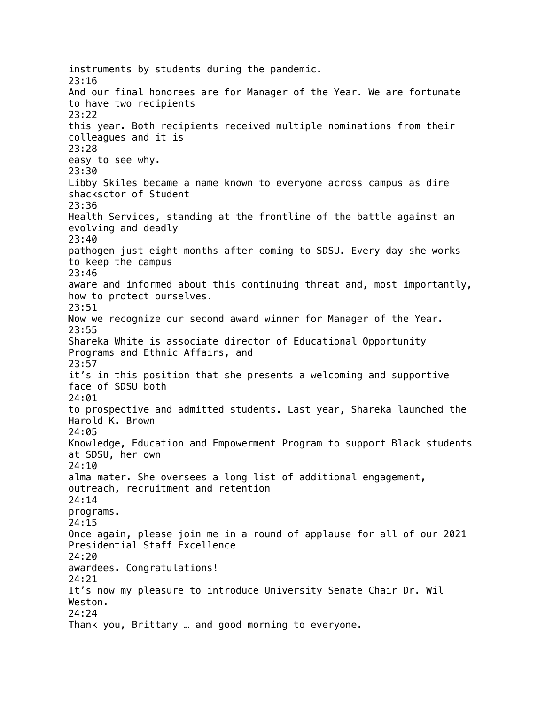instruments by students during the pandemic. 23:16 And our final honorees are for Manager of the Year. We are fortunate to have two recipients 23:22 this year. Both recipients received multiple nominations from their colleagues and it is 23:28 easy to see why. 23:30 Libby Skiles became a name known to everyone across campus as dire shacksctor of Student 23:36 Health Services, standing at the frontline of the battle against an evolving and deadly 23:40 pathogen just eight months after coming to SDSU. Every day she works to keep the campus 23:46 aware and informed about this continuing threat and, most importantly, how to protect ourselves. 23:51 Now we recognize our second award winner for Manager of the Year. 23:55 Shareka White is associate director of Educational Opportunity Programs and Ethnic Affairs, and 23:57 it's in this position that she presents a welcoming and supportive face of SDSU both 24:01 to prospective and admitted students. Last year, Shareka launched the Harold K. Brown 24:05 Knowledge, Education and Empowerment Program to support Black students at SDSU, her own 24:10 alma mater. She oversees a long list of additional engagement, outreach, recruitment and retention 24:14 programs. 24:15 Once again, please join me in a round of applause for all of our 2021 Presidential Staff Excellence 24:20 awardees. Congratulations! 24:21 It's now my pleasure to introduce University Senate Chair Dr. Wil Weston. 24:24 Thank you, Brittany … and good morning to everyone.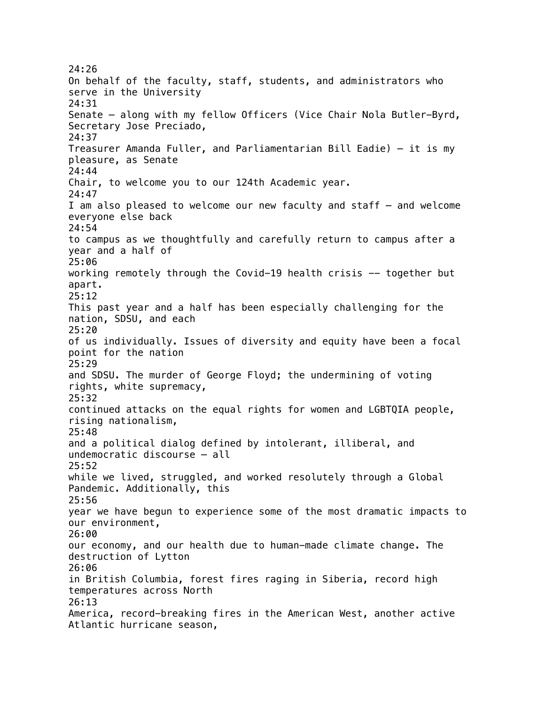24:26 On behalf of the faculty, staff, students, and administrators who serve in the University 24:31 Senate – along with my fellow Officers (Vice Chair Nola Butler-Byrd, Secretary Jose Preciado, 24:37 Treasurer Amanda Fuller, and Parliamentarian Bill Eadie) – it is my pleasure, as Senate 24:44 Chair, to welcome you to our 124th Academic year. 24:47 I am also pleased to welcome our new faculty and staff – and welcome everyone else back 24:54 to campus as we thoughtfully and carefully return to campus after a year and a half of 25:06 working remotely through the Covid-19 health crisis -- together but apart. 25:12 This past year and a half has been especially challenging for the nation, SDSU, and each 25:20 of us individually. Issues of diversity and equity have been a focal point for the nation 25:29 and SDSU. The murder of George Floyd; the undermining of voting rights, white supremacy, 25:32 continued attacks on the equal rights for women and LGBTQIA people, rising nationalism, 25:48 and a political dialog defined by intolerant, illiberal, and undemocratic discourse – all 25:52 while we lived, struggled, and worked resolutely through a Global Pandemic. Additionally, this 25:56 year we have begun to experience some of the most dramatic impacts to our environment, 26:00 our economy, and our health due to human-made climate change. The destruction of Lytton 26:06 in British Columbia, forest fires raging in Siberia, record high temperatures across North 26:13 America, record-breaking fires in the American West, another active Atlantic hurricane season,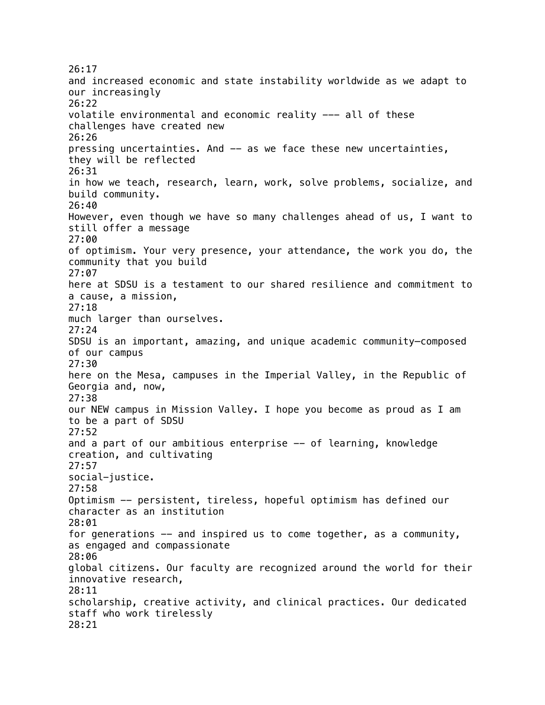26:17 and increased economic and state instability worldwide as we adapt to our increasingly 26:22 volatile environmental and economic reality --- all of these challenges have created new 26:26 pressing uncertainties. And -- as we face these new uncertainties, they will be reflected 26:31 in how we teach, research, learn, work, solve problems, socialize, and build community. 26:40 However, even though we have so many challenges ahead of us, I want to still offer a message 27:00 of optimism. Your very presence, your attendance, the work you do, the community that you build 27:07 here at SDSU is a testament to our shared resilience and commitment to a cause, a mission, 27:18 much larger than ourselves. 27:24 SDSU is an important, amazing, and unique academic community—composed of our campus 27:30 here on the Mesa, campuses in the Imperial Valley, in the Republic of Georgia and, now, 27:38 our NEW campus in Mission Valley. I hope you become as proud as I am to be a part of SDSU 27:52 and a part of our ambitious enterprise -- of learning, knowledge creation, and cultivating 27:57 social-justice. 27:58 Optimism -- persistent, tireless, hopeful optimism has defined our character as an institution 28:01 for generations -- and inspired us to come together, as a community, as engaged and compassionate 28:06 global citizens. Our faculty are recognized around the world for their innovative research, 28:11 scholarship, creative activity, and clinical practices. Our dedicated staff who work tirelessly 28:21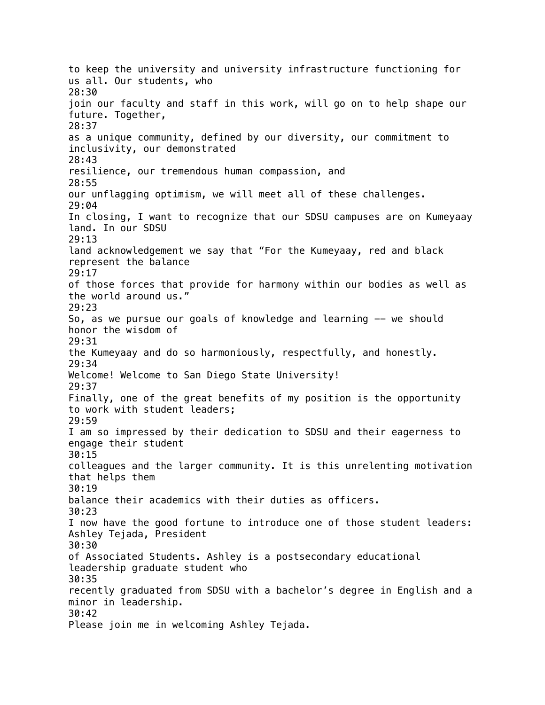to keep the university and university infrastructure functioning for us all. Our students, who 28:30 join our faculty and staff in this work, will go on to help shape our future. Together, 28:37 as a unique community, defined by our diversity, our commitment to inclusivity, our demonstrated 28:43 resilience, our tremendous human compassion, and 28:55 our unflagging optimism, we will meet all of these challenges. 29:04 In closing, I want to recognize that our SDSU campuses are on Kumeyaay land. In our SDSU 29:13 land acknowledgement we say that "For the Kumeyaay, red and black represent the balance 29:17 of those forces that provide for harmony within our bodies as well as the world around us." 29:23 So, as we pursue our goals of knowledge and learning -- we should honor the wisdom of 29:31 the Kumeyaay and do so harmoniously, respectfully, and honestly. 29:34 Welcome! Welcome to San Diego State University! 29:37 Finally, one of the great benefits of my position is the opportunity to work with student leaders; 29:59 I am so impressed by their dedication to SDSU and their eagerness to engage their student 30:15 colleagues and the larger community. It is this unrelenting motivation that helps them 30:19 balance their academics with their duties as officers. 30:23 I now have the good fortune to introduce one of those student leaders: Ashley Tejada, President 30:30 of Associated Students. Ashley is a postsecondary educational leadership graduate student who 30:35 recently graduated from SDSU with a bachelor's degree in English and a minor in leadership. 30:42 Please join me in welcoming Ashley Tejada.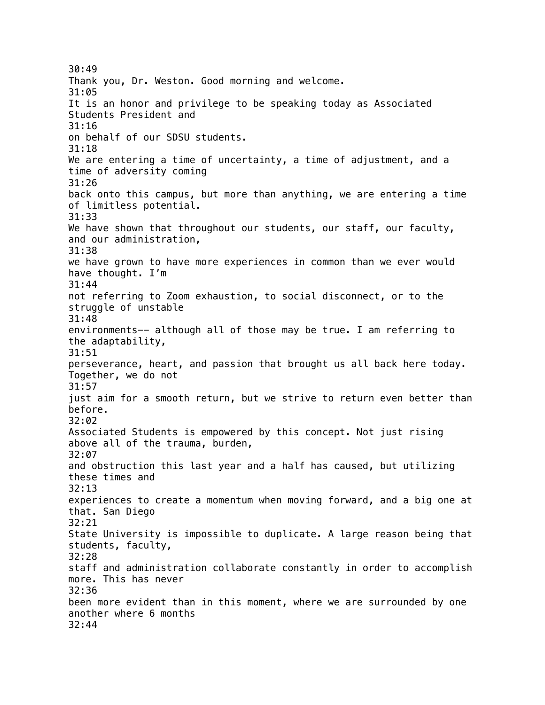30:49 Thank you, Dr. Weston. Good morning and welcome. 31:05 It is an honor and privilege to be speaking today as Associated Students President and 31:16 on behalf of our SDSU students. 31:18 We are entering a time of uncertainty, a time of adjustment, and a time of adversity coming 31:26 back onto this campus, but more than anything, we are entering a time of limitless potential. 31:33 We have shown that throughout our students, our staff, our faculty, and our administration, 31:38 we have grown to have more experiences in common than we ever would have thought. I'm 31:44 not referring to Zoom exhaustion, to social disconnect, or to the struggle of unstable 31:48 environments-- although all of those may be true. I am referring to the adaptability, 31:51 perseverance, heart, and passion that brought us all back here today. Together, we do not 31:57 just aim for a smooth return, but we strive to return even better than before. 32:02 Associated Students is empowered by this concept. Not just rising above all of the trauma, burden, 32:07 and obstruction this last year and a half has caused, but utilizing these times and 32:13 experiences to create a momentum when moving forward, and a big one at that. San Diego 32:21 State University is impossible to duplicate. A large reason being that students, faculty, 32:28 staff and administration collaborate constantly in order to accomplish more. This has never 32:36 been more evident than in this moment, where we are surrounded by one another where 6 months 32:44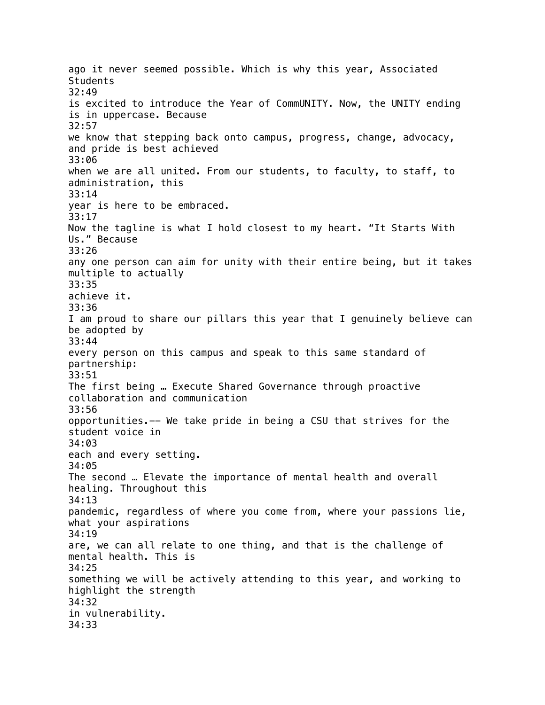ago it never seemed possible. Which is why this year, Associated **Students** 32:49 is excited to introduce the Year of CommUNITY. Now, the UNITY ending is in uppercase. Because 32:57 we know that stepping back onto campus, progress, change, advocacy, and pride is best achieved 33:06 when we are all united. From our students, to faculty, to staff, to administration, this 33:14 year is here to be embraced. 33:17 Now the tagline is what I hold closest to my heart. "It Starts With Us." Because 33:26 any one person can aim for unity with their entire being, but it takes multiple to actually 33:35 achieve it. 33:36 I am proud to share our pillars this year that I genuinely believe can be adopted by 33:44 every person on this campus and speak to this same standard of partnership: 33:51 The first being … Execute Shared Governance through proactive collaboration and communication 33:56 opportunities.-- We take pride in being a CSU that strives for the student voice in 34:03 each and every setting. 34:05 The second … Elevate the importance of mental health and overall healing. Throughout this 34:13 pandemic, regardless of where you come from, where your passions lie, what your aspirations 34:19 are, we can all relate to one thing, and that is the challenge of mental health. This is 34:25 something we will be actively attending to this year, and working to highlight the strength 34:32 in vulnerability. 34:33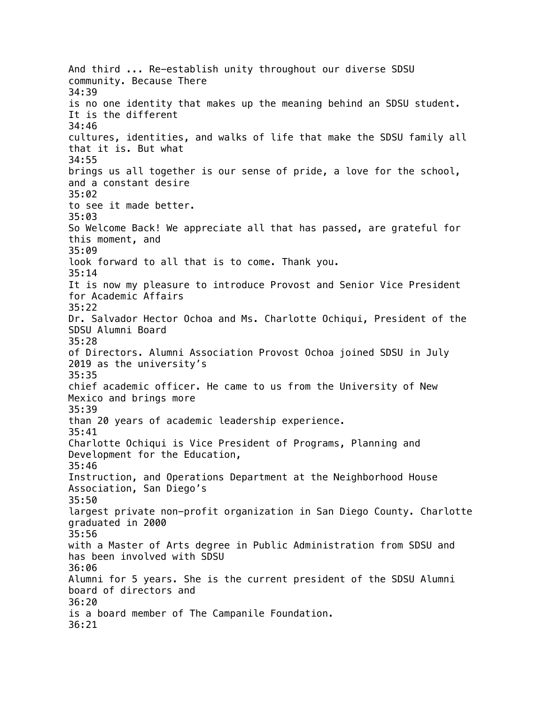And third ... Re-establish unity throughout our diverse SDSU community. Because There 34:39 is no one identity that makes up the meaning behind an SDSU student. It is the different 34:46 cultures, identities, and walks of life that make the SDSU family all that it is. But what 34:55 brings us all together is our sense of pride, a love for the school, and a constant desire 35:02 to see it made better. 35:03 So Welcome Back! We appreciate all that has passed, are grateful for this moment, and 35:09 look forward to all that is to come. Thank you. 35:14 It is now my pleasure to introduce Provost and Senior Vice President for Academic Affairs 35:22 Dr. Salvador Hector Ochoa and Ms. Charlotte Ochiqui, President of the SDSU Alumni Board 35:28 of Directors. Alumni Association Provost Ochoa joined SDSU in July 2019 as the university's 35:35 chief academic officer. He came to us from the University of New Mexico and brings more 35:39 than 20 years of academic leadership experience. 35:41 Charlotte Ochiqui is Vice President of Programs, Planning and Development for the Education, 35:46 Instruction, and Operations Department at the Neighborhood House Association, San Diego's 35:50 largest private non-profit organization in San Diego County. Charlotte graduated in 2000 35:56 with a Master of Arts degree in Public Administration from SDSU and has been involved with SDSU 36:06 Alumni for 5 years. She is the current president of the SDSU Alumni board of directors and 36:20 is a board member of The Campanile Foundation. 36:21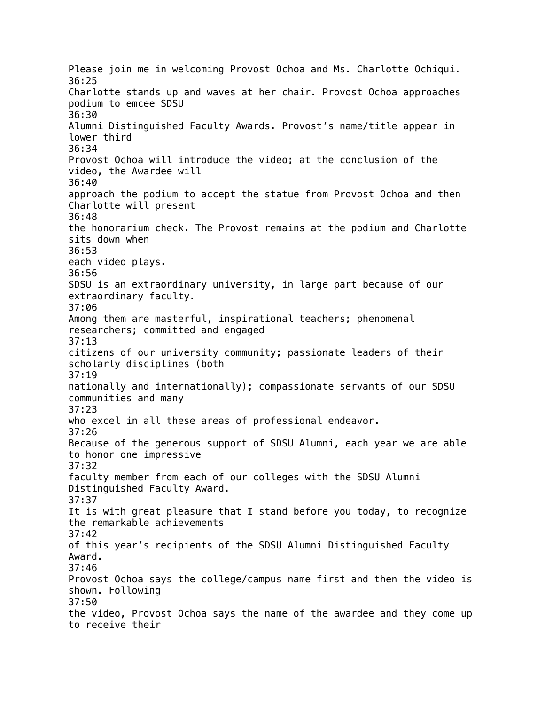Please join me in welcoming Provost Ochoa and Ms. Charlotte Ochiqui. 36:25 Charlotte stands up and waves at her chair. Provost Ochoa approaches podium to emcee SDSU 36:30 Alumni Distinguished Faculty Awards. Provost's name/title appear in lower third 36:34 Provost Ochoa will introduce the video; at the conclusion of the video, the Awardee will 36:40 approach the podium to accept the statue from Provost Ochoa and then Charlotte will present 36:48 the honorarium check. The Provost remains at the podium and Charlotte sits down when 36:53 each video plays. 36:56 SDSU is an extraordinary university, in large part because of our extraordinary faculty. 37:06 Among them are masterful, inspirational teachers; phenomenal researchers; committed and engaged 37:13 citizens of our university community; passionate leaders of their scholarly disciplines (both 37:19 nationally and internationally); compassionate servants of our SDSU communities and many 37:23 who excel in all these areas of professional endeavor. 37:26 Because of the generous support of SDSU Alumni, each year we are able to honor one impressive 37:32 faculty member from each of our colleges with the SDSU Alumni Distinguished Faculty Award. 37:37 It is with great pleasure that I stand before you today, to recognize the remarkable achievements 37:42 of this year's recipients of the SDSU Alumni Distinguished Faculty Award. 37:46 Provost Ochoa says the college/campus name first and then the video is shown. Following 37:50 the video, Provost Ochoa says the name of the awardee and they come up to receive their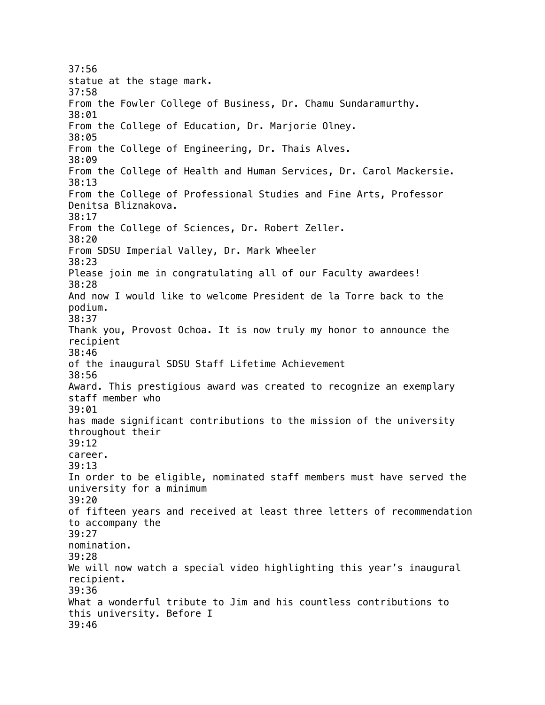37:56 statue at the stage mark. 37:58 From the Fowler College of Business, Dr. Chamu Sundaramurthy. 38:01 From the College of Education, Dr. Marjorie Olney. 38:05 From the College of Engineering, Dr. Thais Alves. 38:09 From the College of Health and Human Services, Dr. Carol Mackersie. 38:13 From the College of Professional Studies and Fine Arts, Professor Denitsa Bliznakova. 38:17 From the College of Sciences, Dr. Robert Zeller. 38:20 From SDSU Imperial Valley, Dr. Mark Wheeler 38:23 Please join me in congratulating all of our Faculty awardees! 38:28 And now I would like to welcome President de la Torre back to the podium. 38:37 Thank you, Provost Ochoa. It is now truly my honor to announce the recipient 38:46 of the inaugural SDSU Staff Lifetime Achievement 38:56 Award. This prestigious award was created to recognize an exemplary staff member who 39:01 has made significant contributions to the mission of the university throughout their 39:12 career. 39:13 In order to be eligible, nominated staff members must have served the university for a minimum 39:20 of fifteen years and received at least three letters of recommendation to accompany the 39:27 nomination. 39:28 We will now watch a special video highlighting this year's inaugural recipient. 39:36 What a wonderful tribute to Jim and his countless contributions to this university. Before I 39:46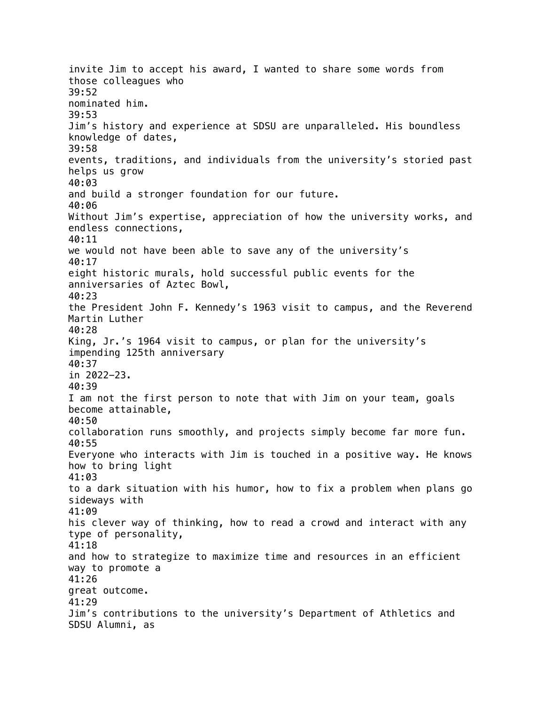invite Jim to accept his award, I wanted to share some words from those colleagues who 39:52 nominated him. 39:53 Jim's history and experience at SDSU are unparalleled. His boundless knowledge of dates, 39:58 events, traditions, and individuals from the university's storied past helps us grow 40:03 and build a stronger foundation for our future. 40:06 Without Jim's expertise, appreciation of how the university works, and endless connections, 40:11 we would not have been able to save any of the university's 40:17 eight historic murals, hold successful public events for the anniversaries of Aztec Bowl, 40:23 the President John F. Kennedy's 1963 visit to campus, and the Reverend Martin Luther 40:28 King, Jr.'s 1964 visit to campus, or plan for the university's impending 125th anniversary 40:37 in 2022-23. 40:39 I am not the first person to note that with Jim on your team, goals become attainable, 40:50 collaboration runs smoothly, and projects simply become far more fun. 40:55 Everyone who interacts with Jim is touched in a positive way. He knows how to bring light 41:03 to a dark situation with his humor, how to fix a problem when plans go sideways with 41:09 his clever way of thinking, how to read a crowd and interact with any type of personality, 41:18 and how to strategize to maximize time and resources in an efficient way to promote a 41:26 great outcome. 41:29 Jim's contributions to the university's Department of Athletics and SDSU Alumni, as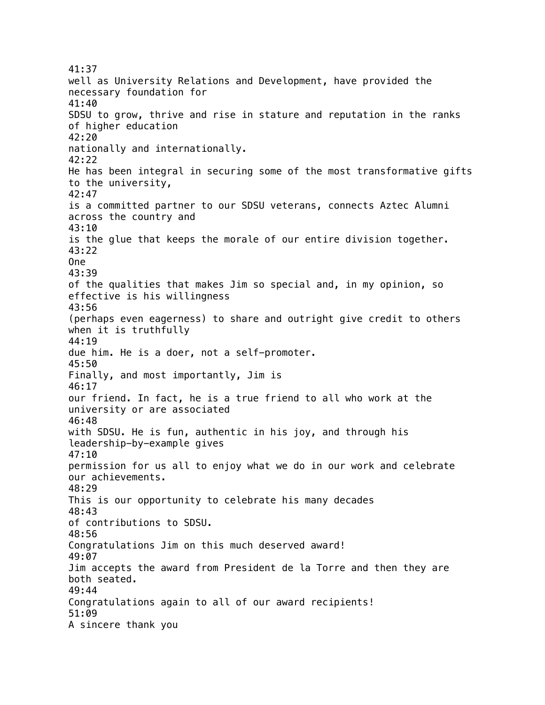41:37 well as University Relations and Development, have provided the necessary foundation for 41:40 SDSU to grow, thrive and rise in stature and reputation in the ranks of higher education 42:20 nationally and internationally. 42:22 He has been integral in securing some of the most transformative gifts to the university, 42:47 is a committed partner to our SDSU veterans, connects Aztec Alumni across the country and 43:10 is the glue that keeps the morale of our entire division together. 43:22 One 43:39 of the qualities that makes Jim so special and, in my opinion, so effective is his willingness 43:56 (perhaps even eagerness) to share and outright give credit to others when it is truthfully 44:19 due him. He is a doer, not a self-promoter. 45:50 Finally, and most importantly, Jim is 46:17 our friend. In fact, he is a true friend to all who work at the university or are associated 46:48 with SDSU. He is fun, authentic in his joy, and through his leadership-by-example gives 47:10 permission for us all to enjoy what we do in our work and celebrate our achievements. 48:29 This is our opportunity to celebrate his many decades 48:43 of contributions to SDSU. 48:56 Congratulations Jim on this much deserved award! 49:07 Jim accepts the award from President de la Torre and then they are both seated. 49:44 Congratulations again to all of our award recipients! 51:09 A sincere thank you